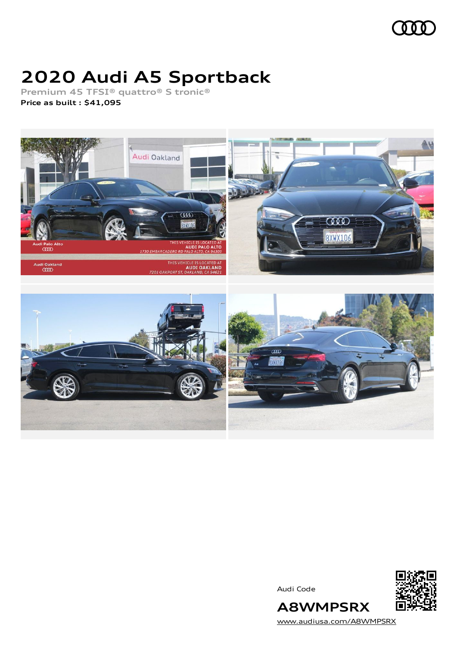

# **2020 Audi A5 Sportback**

**Premium 45 TFSI® quattro® S tronic®**

**Price as built [:](#page-8-0) \$41,095**



Audi Code



[www.audiusa.com/A8WMPSRX](https://www.audiusa.com/A8WMPSRX)

**A8WMPSRX**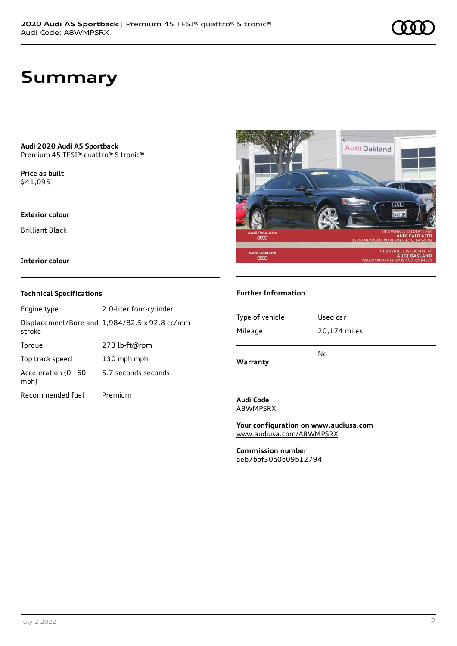### **Summary**

**Audi 2020 Audi A5 Sportback** Premium 45 TFSI® quattro® S tronic®

**Price as buil[t](#page-8-0)** \$41,095

#### **Exterior colour**

Brilliant Black

**Interior colour**

#### **Technical Specifications**

| Engine type                  | 2.0-liter four-cylinder                       |
|------------------------------|-----------------------------------------------|
| stroke                       | Displacement/Bore and 1,984/82.5 x 92.8 cc/mm |
| Torque                       | 273 lb-ft@rpm                                 |
| Top track speed              | 130 mph mph                                   |
| Acceleration (0 - 60<br>mph) | 5.7 seconds seconds                           |
| Recommended fuel             | Premium                                       |



#### **Further Information**

| Type of vehicle | Used car     |
|-----------------|--------------|
| Mileage         | 20,174 miles |
| Warranty        | No           |

#### **Audi Code** A8WMPSRX

**Your configuration on www.audiusa.com** [www.audiusa.com/A8WMPSRX](https://www.audiusa.com/A8WMPSRX)

**Commission number** aeb7bbf30a0e09b12794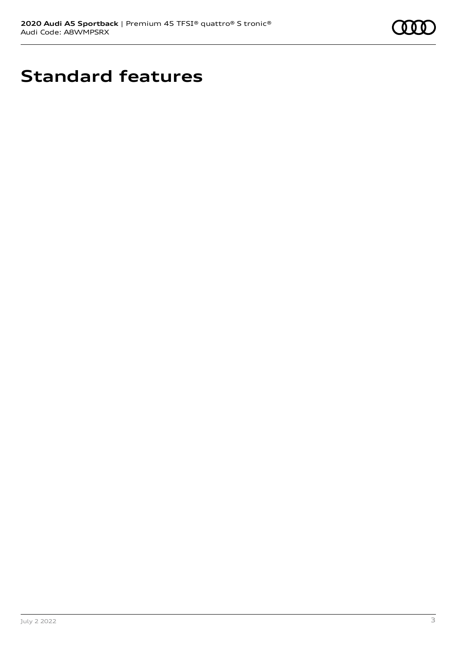

# **Standard features**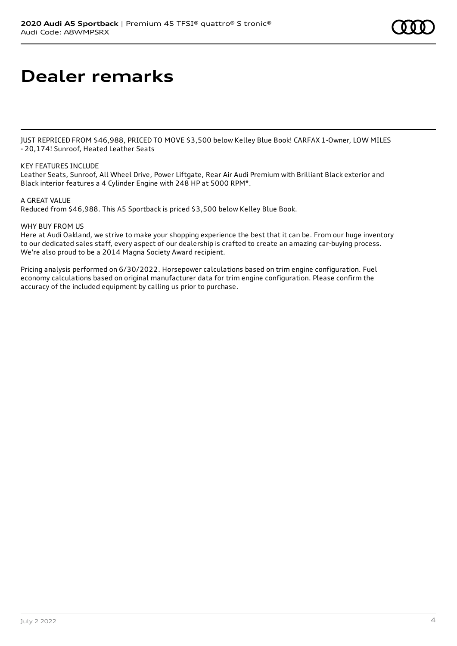## **Dealer remarks**

JUST REPRICED FROM \$46,988, PRICED TO MOVE \$3,500 below Kelley Blue Book! CARFAX 1-Owner, LOW MILES - 20,174! Sunroof, Heated Leather Seats

#### KEY FEATURES INCLUDE

Leather Seats, Sunroof, All Wheel Drive, Power Liftgate, Rear Air Audi Premium with Brilliant Black exterior and Black interior features a 4 Cylinder Engine with 248 HP at 5000 RPM\*.

#### A GREAT VALUE

Reduced from \$46,988. This A5 Sportback is priced \$3,500 below Kelley Blue Book.

#### WHY BUY FROM US

Here at Audi Oakland, we strive to make your shopping experience the best that it can be. From our huge inventory to our dedicated sales staff, every aspect of our dealership is crafted to create an amazing car-buying process. We're also proud to be a 2014 Magna Society Award recipient.

Pricing analysis performed on 6/30/2022. Horsepower calculations based on trim engine configuration. Fuel economy calculations based on original manufacturer data for trim engine configuration. Please confirm the accuracy of the included equipment by calling us prior to purchase.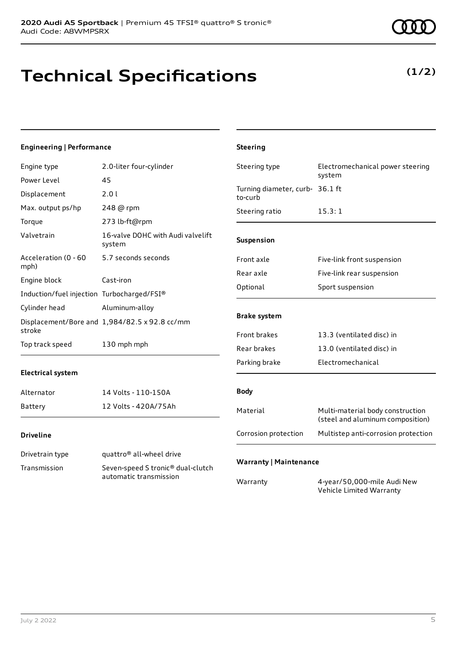### **Technical Specifications**

#### **Engineering | Performance**

| Engine type                                                                             | 2.0-liter four-cylinder                       | Steering type                              | Electromechanical power steering                                     |
|-----------------------------------------------------------------------------------------|-----------------------------------------------|--------------------------------------------|----------------------------------------------------------------------|
| Power Level                                                                             | 45                                            |                                            | system                                                               |
| Displacement                                                                            | 2.01                                          | Turning diameter, curb- 36.1 ft<br>to-curb |                                                                      |
| Max. output ps/hp                                                                       | 248 @ rpm                                     | Steering ratio                             | 15.3:1                                                               |
| Torque                                                                                  | 273 lb-ft@rpm                                 |                                            |                                                                      |
| Valvetrain                                                                              | 16-valve DOHC with Audi valvelift<br>system   | Suspension                                 |                                                                      |
| Acceleration (0 - 60<br>mph)                                                            | 5.7 seconds seconds                           | Front axle                                 | Five-link front suspension                                           |
| Engine block                                                                            | Cast-iron                                     | Rear axle                                  | Five-link rear suspension                                            |
|                                                                                         |                                               | Optional                                   | Sport suspension                                                     |
| Induction/fuel injection Turbocharged/FSI®                                              |                                               |                                            |                                                                      |
| Cylinder head                                                                           | Aluminum-alloy                                | <b>Brake system</b>                        |                                                                      |
| stroke                                                                                  | Displacement/Bore and 1,984/82.5 x 92.8 cc/mm |                                            |                                                                      |
|                                                                                         |                                               | Front brakes                               | 13.3 (ventilated disc) in                                            |
| Top track speed                                                                         | 130 mph mph                                   | Rear brakes                                | 13.0 (ventilated disc) in                                            |
|                                                                                         |                                               | Parking brake                              | Electromechanical                                                    |
| <b>Electrical system</b>                                                                |                                               |                                            |                                                                      |
| Alternator                                                                              | 14 Volts - 110-150A                           | <b>Body</b>                                |                                                                      |
| Battery                                                                                 | 12 Volts - 420A/75Ah                          | Material                                   | Multi-material body construction<br>(steel and aluminum composition) |
| <b>Driveline</b>                                                                        |                                               | Corrosion protection                       | Multistep anti-corrosion protection                                  |
| Drivetrain type                                                                         | quattro <sup>®</sup> all-wheel drive          | <b>Warranty   Maintenance</b>              |                                                                      |
| Transmission<br>Seven-speed S tronic <sup>®</sup> dual-clutch<br>automatic transmission |                                               |                                            |                                                                      |
|                                                                                         | Warranty                                      | 4-year/50,000-mile Audi New                |                                                                      |

**Steering**

**(1/2)**

Vehicle Limited Warranty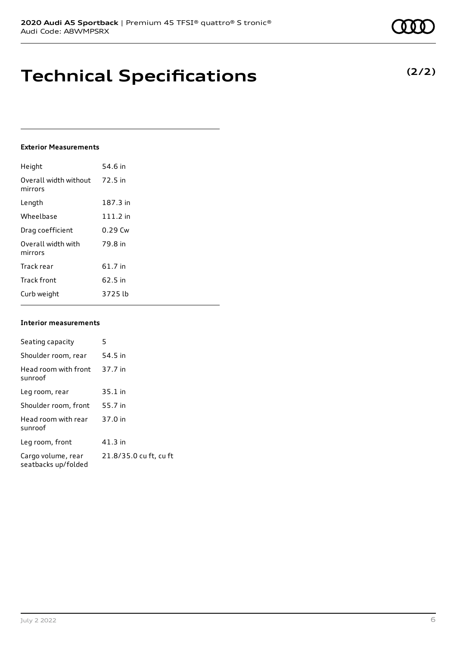### **Technical Specifications**

### **Exterior Measurements**

| Height                           | 54.6 in    |
|----------------------------------|------------|
| Overall width without<br>mirrors | 72.5 in    |
| Length                           | 187.3 in   |
| Wheelbase                        | $111.2$ in |
| Drag coefficient                 | $0.29$ Cw  |
| Overall width with<br>mirrors    | 79.8 in    |
| Track rear                       | 61.7 in    |
| <b>Track front</b>               | 62.5 in    |
| Curb weight                      | 3725 lb    |

#### **Interior measurements**

| Seating capacity                          | 5                      |
|-------------------------------------------|------------------------|
| Shoulder room, rear                       | 54.5 in                |
| Head room with front<br>sunroof           | 37.7 in                |
| Leg room, rear                            | $35.1$ in              |
| Shoulder room, front                      | 55.7 in                |
| Head room with rear<br>sunroof            | 37.0 in                |
| Leg room, front                           | $41.3$ in              |
| Cargo volume, rear<br>seatbacks up/folded | 21.8/35.0 cu ft, cu ft |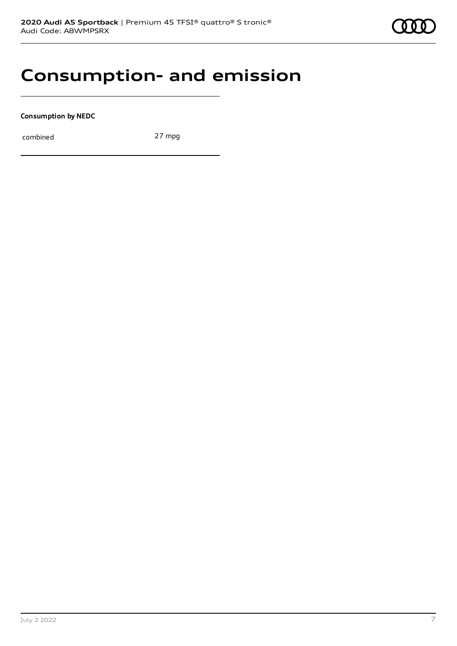

### **Consumption- and emission**

**Consumption by NEDC**

combined 27 mpg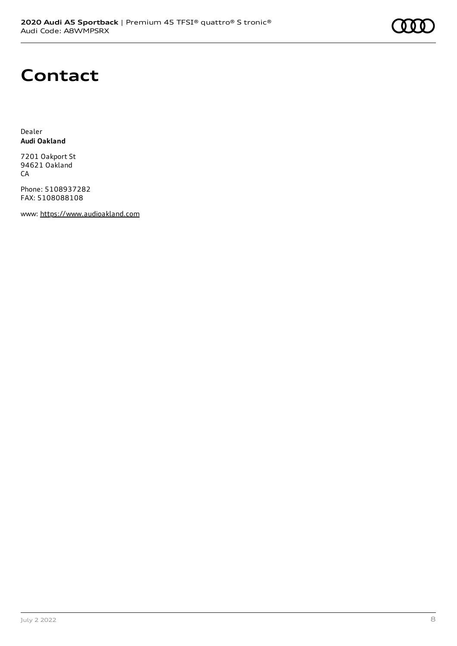

### **Contact**

Dealer **Audi Oakland**

7201 Oakport St 94621 Oakland CA

Phone: 5108937282 FAX: 5108088108

www: [https://www.audioakland.com](https://www.audioakland.com/)